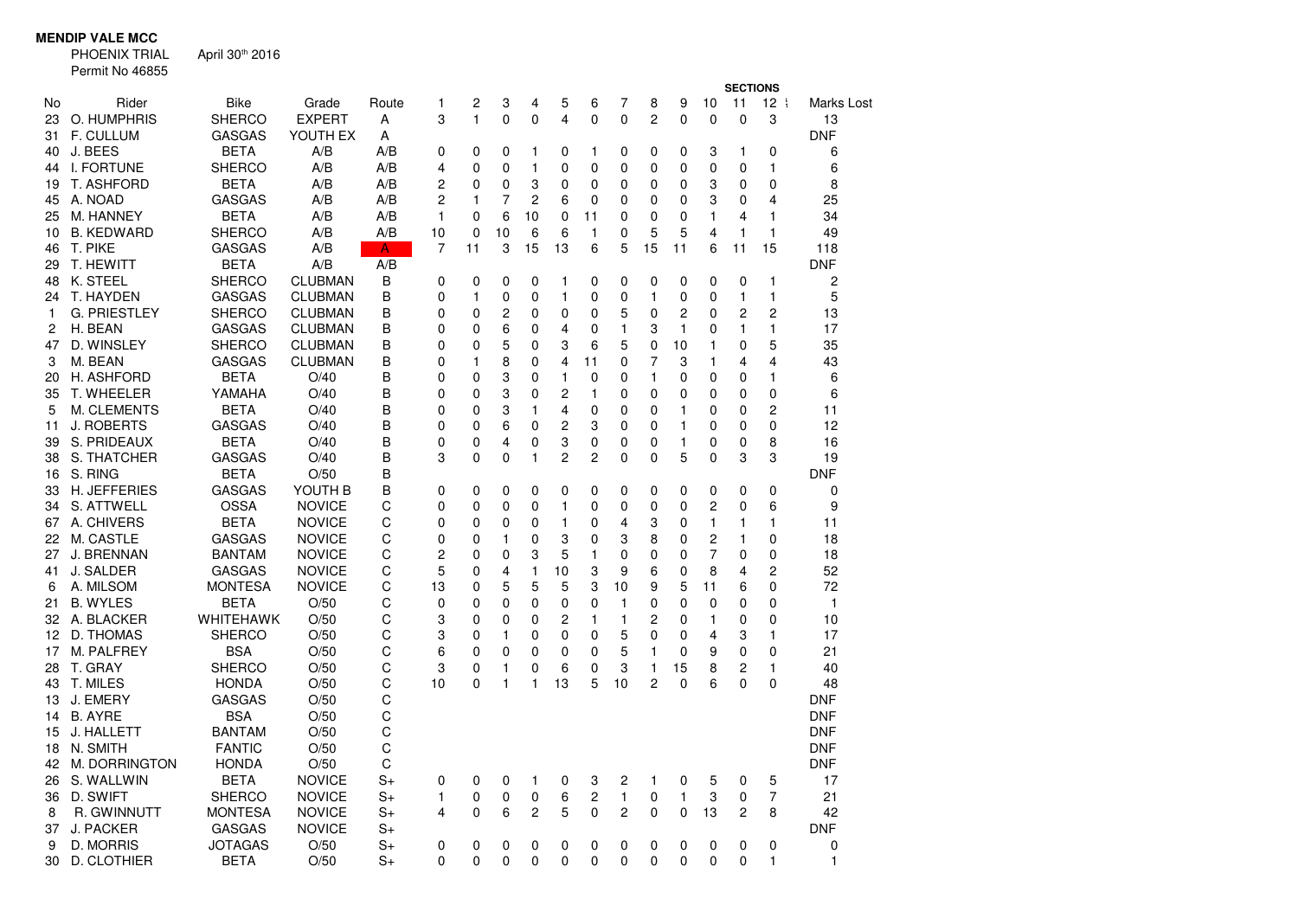## **MENDIP VALE MCC**

 PHOENIX TRIAL Permit No 46855April 30th 2016

|    |                     |                  |                |       |                |    |             |                |                |                |                         |                |              |                | <b>SECTIONS</b> |                 |            |
|----|---------------------|------------------|----------------|-------|----------------|----|-------------|----------------|----------------|----------------|-------------------------|----------------|--------------|----------------|-----------------|-----------------|------------|
| No | Rider               | <b>Bike</b>      | Grade          | Route | 1              | 2  | 3           | 4              | 5              | 6              | 7                       | 8              | 9            | 10             | 11              | 12 <sub>1</sub> | Marks Lost |
| 23 | O. HUMPHRIS         | <b>SHERCO</b>    | <b>EXPERT</b>  | A     | 3              | 1  | 0           | 0              | 4              | $\mathbf 0$    | $\mathbf 0$             | $\overline{c}$ | $\Omega$     | $\mathbf 0$    | $\mathbf 0$     | 3               | 13         |
| 31 | <b>F. CULLUM</b>    | <b>GASGAS</b>    | YOUTH EX       | Α     |                |    |             |                |                |                |                         |                |              |                |                 |                 | <b>DNF</b> |
| 40 | J. BEES             | <b>BETA</b>      | A/B            | A/B   | 0              | 0  | 0           | 1              | 0              | 1              | 0                       | 0              | 0            | 3              | 1               | 0               | 6          |
| 44 | <b>I. FORTUNE</b>   | <b>SHERCO</b>    | A/B            | A/B   | 4              | 0  | 0           | 1              | 0              | 0              | 0                       | 0              | 0            | 0              | 0               | 1               | 6          |
| 19 | <b>T. ASHFORD</b>   | <b>BETA</b>      | A/B            | A/B   | $\overline{c}$ | 0  | 0           | 3              | 0              | 0              | 0                       | 0              | 0            | 3              | 0               | 0               | 8          |
| 45 | A. NOAD             | <b>GASGAS</b>    | A/B            | A/B   | $\overline{2}$ | 1  | 7           | $\overline{c}$ | 6              | 0              | 0                       | 0              | 0            | 3              | 0               | 4               | 25         |
| 25 | M. HANNEY           | <b>BETA</b>      | A/B            | A/B   | $\mathbf{1}$   | 0  | 6           | 10             | 0              | 11             | 0                       | $\mathbf 0$    | 0            | 1              | 4               | 1               | 34         |
| 10 | <b>B. KEDWARD</b>   | <b>SHERCO</b>    | A/B            | A/B   | 10             | 0  | 10          | 6              | 6              | $\mathbf{1}$   | 0                       | 5              | 5            | 4              | $\mathbf{1}$    | 1               | 49         |
| 46 | T. PIKE             | <b>GASGAS</b>    | A/B            | A     | 7              | 11 | 3           | 15             | 13             | 6              | 5                       | 15             | 11           | 6              | 11              | 15              | 118        |
| 29 | T. HEWITT           | <b>BETA</b>      | A/B            | A/B   |                |    |             |                |                |                |                         |                |              |                |                 |                 | DNF        |
| 48 | K. STEEL            | <b>SHERCO</b>    | <b>CLUBMAN</b> | B     | 0              | 0  | $\mathbf 0$ | 0              | 1              | 0              | 0                       | 0              | $\mathbf 0$  | 0              | 0               | 1               | 2          |
| 24 | T. HAYDEN           | <b>GASGAS</b>    | <b>CLUBMAN</b> | B     | 0              | 1  | $\mathbf 0$ | 0              | 1              | 0              | 0                       | 1              | 0            | $\mathbf 0$    | $\mathbf{1}$    | 1               | 5          |
| 1  | <b>G. PRIESTLEY</b> | <b>SHERCO</b>    | <b>CLUBMAN</b> | B     | 0              | 0  | 2           | 0              | 0              | 0              | 5                       | 0              | 2            | 0              | $\overline{c}$  | 2               | 13         |
| 2  | H. BEAN             | <b>GASGAS</b>    | <b>CLUBMAN</b> | B     | 0              | 0  | 6           | 0              | 4              | 0              | 1                       | 3              | 1            | $\mathbf 0$    | $\mathbf{1}$    | 1               | 17         |
| 47 | D. WINSLEY          | <b>SHERCO</b>    | <b>CLUBMAN</b> | B     | $\mathbf 0$    | 0  | 5           | 0              | 3              | 6              | 5                       | 0              | 10           | 1              | 0               | 5               | 35         |
| 3  | M. BEAN             | <b>GASGAS</b>    | <b>CLUBMAN</b> | B     | 0              | 1  | 8           | 0              | 4              | 11             | 0                       | 7              | 3            | 1              | 4               | 4               | 43         |
| 20 | H. ASHFORD          | <b>BETA</b>      | O/40           | B     | 0              | 0  | 3           | 0              | 1              | 0              | 0                       | 1              | 0            | 0              | 0               | 1               | 6          |
| 35 | T. WHEELER          | YAMAHA           | O/40           | B     | 0              | 0  | 3           | 0              | 2              | $\mathbf{1}$   | 0                       | 0              | 0            | $\mathbf 0$    | $\mathbf 0$     | 0               | 6          |
| 5  | M. CLEMENTS         | <b>BETA</b>      | O/40           | B     | 0              | 0  | 3           | 1              | 4              | $\mathbf 0$    | 0                       | 0              | 1            | $\mathbf 0$    | $\mathbf 0$     | 2               | 11         |
| 11 | <b>J. ROBERTS</b>   | <b>GASGAS</b>    | O/40           | B     | 0              | 0  | 6           | 0              | 2              | 3              | 0                       | 0              | $\mathbf{1}$ | $\mathbf 0$    | $\Omega$        | 0               | 12         |
| 39 | S. PRIDEAUX         | <b>BETA</b>      | O/40           | B     | 0              | 0  | 4           | 0              | 3              | 0              | 0                       | 0              | 1            | 0              | 0               | 8               | 16         |
| 38 | S. THATCHER         | <b>GASGAS</b>    | O/40           | B     | 3              | 0  | 0           | $\mathbf{1}$   | $\overline{c}$ | $\overline{c}$ | 0                       | 0              | 5            | $\mathbf 0$    | 3               | 3               | 19         |
| 16 | S. RING             | <b>BETA</b>      | O/50           | B     |                |    |             |                |                |                |                         |                |              |                |                 |                 | DNF        |
| 33 | <b>H. JEFFERIES</b> | <b>GASGAS</b>    | YOUTH B        | B     | 0              | 0  | 0           | 0              | 0              | 0              | 0                       | $\mathbf 0$    | 0            | 0              | 0               | 0               | 0          |
| 34 | S. ATTWELL          | <b>OSSA</b>      | <b>NOVICE</b>  | C     | 0              | 0  | 0           | 0              | 1              | 0              | 0                       | $\mathbf 0$    | 0            | 2              | 0               | 6               | 9          |
| 67 | A. CHIVERS          | <b>BETA</b>      | <b>NOVICE</b>  | C     | 0              | 0  | 0           | 0              | 1              | 0              | 4                       | 3              | 0            | 1              | $\mathbf{1}$    | 1               | 11         |
| 22 | M. CASTLE           | <b>GASGAS</b>    | <b>NOVICE</b>  | C     | 0              | 0  | 1           | 0              | 3              | 0              | 3                       | 8              | 0            | $\overline{c}$ | $\mathbf{1}$    | 0               | 18         |
| 27 | J. BRENNAN          | <b>BANTAM</b>    | <b>NOVICE</b>  | C     | $\overline{c}$ | 0  | 0           | 3              | 5              | 1              | 0                       | 0              | 0            | $\overline{7}$ | 0               | 0               | 18         |
| 41 | J. SALDER           | <b>GASGAS</b>    | <b>NOVICE</b>  | C     | 5              | 0  | 4           | 1              | 10             | 3              | 9                       | 6              | 0            | 8              | 4               | 2               | 52         |
| 6  | A. MILSOM           | <b>MONTESA</b>   | <b>NOVICE</b>  | C     | 13             | 0  | 5           | 5              | 5              | 3              | 10                      | 9              | 5            | 11             | 6               | 0               | 72         |
| 21 | <b>B. WYLES</b>     | <b>BETA</b>      | O/50           | C     | 0              | 0  | 0           | 0              | 0              | 0              | 1                       | 0              | 0            | $\mathbf 0$    | $\Omega$        | 0               | 1          |
|    | 32 A. BLACKER       | <b>WHITEHAWK</b> | O/50           | C     | 3              | 0  | $\Omega$    | 0              | 2              | 1              | $\mathbf{1}$            | 2              | $\Omega$     | 1              | 0               | 0               | 10         |
| 12 | D. THOMAS           | <b>SHERCO</b>    | O/50           | C     | 3              | 0  | 1           | 0              | 0              | 0              | 5                       | 0              | 0            | 4              | 3               | 1               | 17         |
| 17 | M. PALFREY          | BSA              | O/50           | C     | 6              | 0  | 0           | 0              | 0              | 0              | 5                       | 1              | 0            | 9              | 0               | 0               | 21         |
| 28 | T. GRAY             | <b>SHERCO</b>    | O/50           | C     | 3              | 0  | 1           | 0              | 6              | 0              | 3                       | 1              | 15           | 8              | 2               | 1               | 40         |
| 43 | T. MILES            | <b>HONDA</b>     | O/50           | C     | 10             | 0  | 1           | 1              | 13             | 5              | 10                      | 2              | $\Omega$     | 6              | $\Omega$        | 0               | 48         |
| 13 | J. EMERY            | <b>GASGAS</b>    | O/50           | C     |                |    |             |                |                |                |                         |                |              |                |                 |                 | DNF        |
| 14 | <b>B. AYRE</b>      | <b>BSA</b>       | O/50           | C     |                |    |             |                |                |                |                         |                |              |                |                 |                 | <b>DNF</b> |
| 15 | J. HALLETT          | <b>BANTAM</b>    | O/50           | C     |                |    |             |                |                |                |                         |                |              |                |                 |                 | <b>DNF</b> |
| 18 | N. SMITH            | <b>FANTIC</b>    | O/50           | C     |                |    |             |                |                |                |                         |                |              |                |                 |                 | <b>DNF</b> |
| 42 | M. DORRINGTON       | <b>HONDA</b>     | O/50           | C     |                |    |             |                |                |                |                         |                |              |                |                 |                 | <b>DNF</b> |
| 26 | S. WALLWIN          | <b>BETA</b>      | <b>NOVICE</b>  | $S+$  | 0              | 0  | 0           | 1              | 0              | 3              | 2                       | 1              | 0            | 5              | 0               | 5               | 17         |
| 36 | D. SWIFT            | <b>SHERCO</b>    | <b>NOVICE</b>  | $S+$  | 1              | 0  | 0           | 0              | 6              | $\overline{c}$ | 1                       | 0              | 1            | 3              | 0               | 7               | 21         |
| 8  | R. GWINNUTT         | <b>MONTESA</b>   | <b>NOVICE</b>  | $S+$  | 4              | 0  | 6           | $\overline{c}$ | 5              | 0              | $\overline{\mathbf{c}}$ | 0              | 0            | 13             | $\overline{c}$  | 8               | 42         |
| 37 | <b>J. PACKER</b>    | <b>GASGAS</b>    | <b>NOVICE</b>  | S+    |                |    |             |                |                |                |                         |                |              |                |                 |                 | DNF        |
| 9  | D. MORRIS           | <b>JOTAGAS</b>   | O/50           | $S+$  | 0              | 0  | 0           | 0              | 0              | 0              | 0                       | 0              | 0            | 0              | 0               | 0               | 0          |
| 30 | D. CLOTHIER         | <b>BETA</b>      | O/50           | S+    | $\Omega$       | 0  | 0           | $\Omega$       | 0              | 0              | 0                       | 0              | 0            | $\Omega$       | $\Omega$        | 1               | 1          |